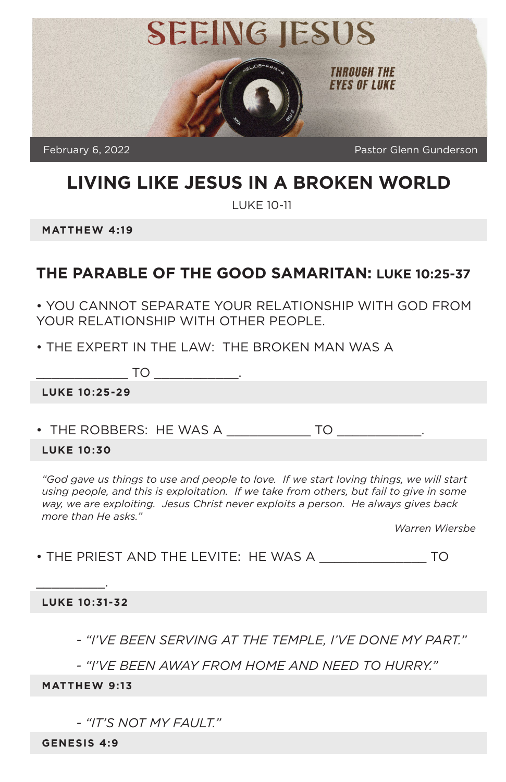

# **LIVING LIKE JESUS IN A BROKEN WORLD**

LUKE 10-11

**MATTHEW 4:19**

#### **THE PARABLE OF THE GOOD SAMARITAN: LUKE 10:25-37**

• YOU CANNOT SEPARATE YOUR RELATIONSHIP WITH GOD FROM YOUR RELATIONSHIP WITH OTHER PEOPLE.

• THE EXPERT IN THE LAW: THE BROKEN MAN WAS A

 $\mathsf{T}\mathsf{O}$  .

**LUKE 10:25-29**

• THE ROBBERS: HE WAS A  $\overline{10}$ 

#### **LUKE 10:30**

"God gave us things to use and people to love. If we start loving things, we will start using people, and this is exploitation. If we take from others, but fail to give in some *way, we are exploiting. Jesus Christ never exploits a person. He always gives back more than He asks."*

*Warren Wiersbe*

• THE PRIEST AND THE LEVITE: HE WAS A \_\_\_\_\_\_\_\_\_\_\_\_\_\_ TO

#### **LUKE 10:31-32**

 $\overline{\phantom{a}}$  . The same set of  $\overline{\phantom{a}}$  ,

*- "I'VE BEEN SERVING AT THE TEMPLE, I'VE DONE MY PART."*

*- "I'VE BEEN AWAY FROM HOME AND NEED TO HURRY."*

#### **MATTHEW 9:13**

*- "IT'S NOT MY FAULT."*

**GENESIS 4:9**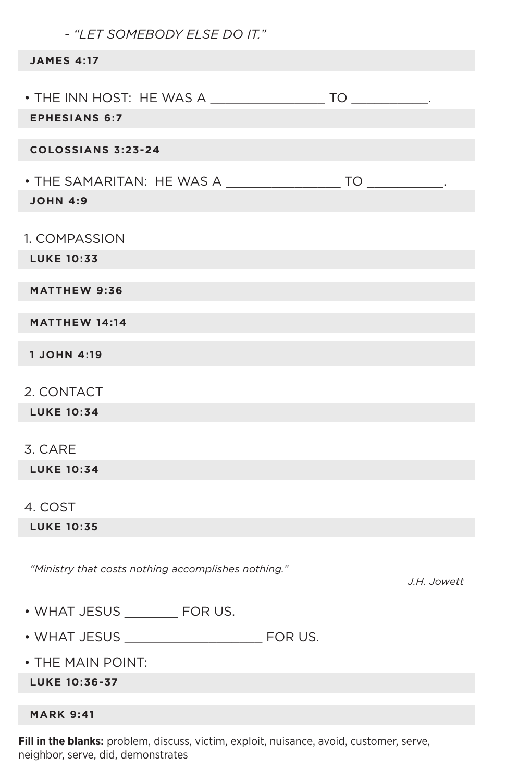| - "LET SOMEBODY ELSE DO IT."                        |             |
|-----------------------------------------------------|-------------|
| <b>JAMES 4:17</b>                                   |             |
| <b>EPHESIANS 6:7</b>                                |             |
| <b>COLOSSIANS 3:23-24</b>                           |             |
| <b>JOHN 4:9</b>                                     |             |
| 1. COMPASSION<br><b>LUKE 10:33</b>                  |             |
| <b>MATTHEW 9:36</b>                                 |             |
| <b>MATTHEW 14:14</b>                                |             |
| <b>1 JOHN 4:19</b>                                  |             |
| 2. CONTACT<br><b>LUKE 10:34</b>                     |             |
| 3. CARE                                             |             |
| <b>LUKE 10:34</b>                                   |             |
| 4. COST                                             |             |
| <b>LUKE 10:35</b>                                   |             |
| "Ministry that costs nothing accomplishes nothing." | J.H. Jowett |
| • WHAT JESUS _________ FOR US.                      |             |
|                                                     |             |
| . THE MAIN POINT:                                   |             |
| <b>LUKE 10:36-37</b>                                |             |
| <b>MARK 9:41</b>                                    |             |

**Fill in the blanks:** problem, discuss, victim, exploit, nuisance, avoid, customer, serve, neighbor, serve, did, demonstrates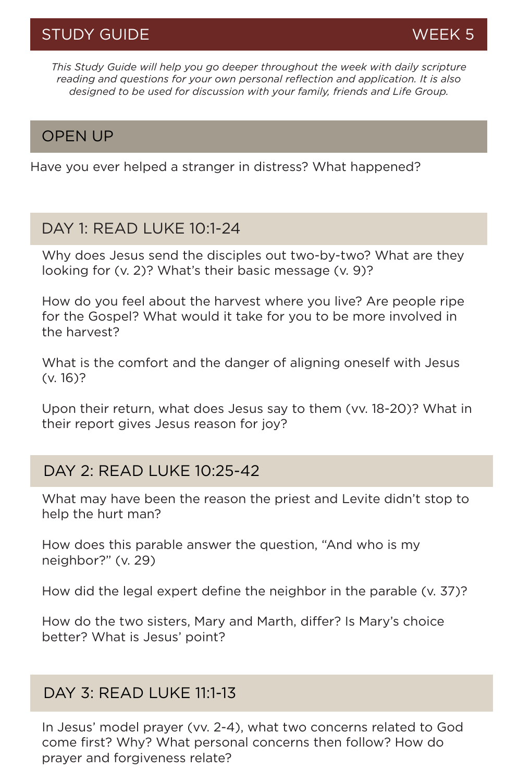*This Study Guide will help you go deeper throughout the week with daily scripture reading and questions for your own personal reflection and application. It is also designed to be used for discussion with your family, friends and Life Group.*

#### OPEN UP

Have you ever helped a stranger in distress? What happened?

#### DAY 1: READ LUKE 10:1-24

Why does Jesus send the disciples out two-by-two? What are they looking for (v. 2)? What's their basic message (v. 9)?

How do you feel about the harvest where you live? Are people ripe for the Gospel? What would it take for you to be more involved in the harvest?

What is the comfort and the danger of aligning oneself with Jesus (v. 16)?

Upon their return, what does Jesus say to them (vv. 18-20)? What in their report gives Jesus reason for joy?

## DAY 2: READ LUKE 10:25-42

What may have been the reason the priest and Levite didn't stop to help the hurt man?

How does this parable answer the question, "And who is my neighbor?" (v. 29)

How did the legal expert define the neighbor in the parable (v. 37)?

How do the two sisters, Mary and Marth, differ? Is Mary's choice better? What is Jesus' point?

## DAY 3: READ LUKE 11:1-13

In Jesus' model prayer (vv. 2-4), what two concerns related to God come first? Why? What personal concerns then follow? How do prayer and forgiveness relate?